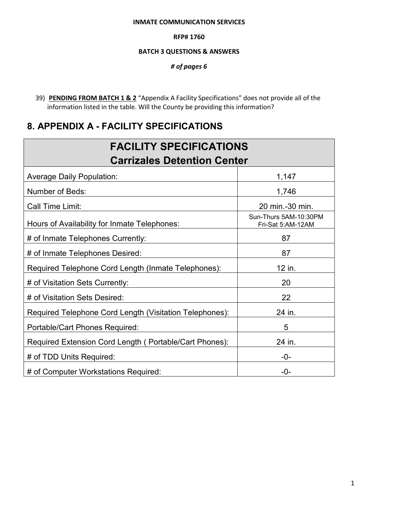#### **INMATE COMMUNICATION SERVICES**

#### **RFP# 1760**

#### **BATCH 3 QUESTIONS & ANSWERS**

*# of pages 6* 

39) **PENDING FROM BATCH 1 & 2** "Appendix A Facility Specifications" does not provide all of the information listed in the table. Will the County be providing this information?

# **8. APPENDIX A - FACILITY SPECIFICATIONS**

| <b>FACILITY SPECIFICATIONS</b>                          |                                            |  |
|---------------------------------------------------------|--------------------------------------------|--|
| <b>Carrizales Detention Center</b>                      |                                            |  |
| <b>Average Daily Population:</b>                        | 1,147                                      |  |
| Number of Beds:                                         | 1,746                                      |  |
| Call Time Limit:                                        | 20 min.-30 min.                            |  |
| Hours of Availability for Inmate Telephones:            | Sun-Thurs 5AM-10:30PM<br>Fri-Sat 5:AM-12AM |  |
| # of Inmate Telephones Currently:                       | 87                                         |  |
| # of Inmate Telephones Desired:                         | 87                                         |  |
| Required Telephone Cord Length (Inmate Telephones):     | 12 in.                                     |  |
| # of Visitation Sets Currently:                         | 20                                         |  |
| # of Visitation Sets Desired:                           | 22                                         |  |
| Required Telephone Cord Length (Visitation Telephones): | 24 in.                                     |  |
| Portable/Cart Phones Required:                          | 5                                          |  |
| Required Extension Cord Length (Portable/Cart Phones):  | 24 in.                                     |  |
| # of TDD Units Required:                                | -0-                                        |  |
| # of Computer Workstations Required:                    | $-0-$                                      |  |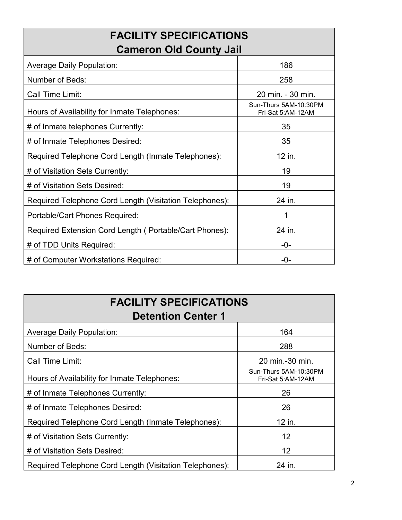| <b>FACILITY SPECIFICATIONS</b>                          |                                            |  |
|---------------------------------------------------------|--------------------------------------------|--|
| <b>Cameron Old County Jail</b>                          |                                            |  |
| <b>Average Daily Population:</b>                        | 186                                        |  |
| <b>Number of Beds:</b>                                  | 258                                        |  |
| Call Time Limit:                                        | 20 min. - 30 min.                          |  |
| Hours of Availability for Inmate Telephones:            | Sun-Thurs 5AM-10:30PM<br>Fri-Sat 5:AM-12AM |  |
| # of Inmate telephones Currently:                       | 35                                         |  |
| # of Inmate Telephones Desired:                         | 35                                         |  |
| Required Telephone Cord Length (Inmate Telephones):     | 12 in.                                     |  |
| # of Visitation Sets Currently:                         | 19                                         |  |
| # of Visitation Sets Desired:                           | 19                                         |  |
| Required Telephone Cord Length (Visitation Telephones): | 24 in.                                     |  |
| Portable/Cart Phones Required:                          |                                            |  |
| Required Extension Cord Length (Portable/Cart Phones):  | 24 in.                                     |  |
| # of TDD Units Required:                                | -0-                                        |  |
| # of Computer Workstations Required:                    | $-0-$                                      |  |

| <b>FACILITY SPECIFICATIONS</b><br><b>Detention Center 1</b> |                                            |  |
|-------------------------------------------------------------|--------------------------------------------|--|
| <b>Average Daily Population:</b>                            | 164                                        |  |
| Number of Beds:                                             | 288                                        |  |
| Call Time Limit:                                            | 20 min.-30 min.                            |  |
| Hours of Availability for Inmate Telephones:                | Sun-Thurs 5AM-10:30PM<br>Fri-Sat 5:AM-12AM |  |
| # of Inmate Telephones Currently:                           | 26                                         |  |
| # of Inmate Telephones Desired:                             | 26                                         |  |
| Required Telephone Cord Length (Inmate Telephones):         | 12 in.                                     |  |
| # of Visitation Sets Currently:                             | $12 \overline{ }$                          |  |
| # of Visitation Sets Desired:                               | 12 <sup>2</sup>                            |  |
| Required Telephone Cord Length (Visitation Telephones):     | 24 in.                                     |  |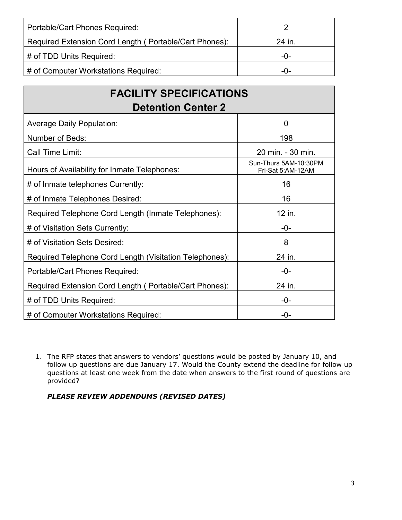| <b>Portable/Cart Phones Required:</b>                  |        |
|--------------------------------------------------------|--------|
| Required Extension Cord Length (Portable/Cart Phones): | 24 in. |
| # of TDD Units Required:                               | $-0-$  |
| # of Computer Workstations Required:                   | $-0-$  |

| <b>FACILITY SPECIFICATIONS</b><br><b>Detention Center 2</b> |                                            |  |
|-------------------------------------------------------------|--------------------------------------------|--|
| <b>Average Daily Population:</b>                            | $\overline{0}$                             |  |
| Number of Beds:                                             | 198                                        |  |
| Call Time Limit:                                            | 20 min. - 30 min.                          |  |
| Hours of Availability for Inmate Telephones:                | Sun-Thurs 5AM-10:30PM<br>Fri-Sat 5:AM-12AM |  |
| # of Inmate telephones Currently:                           | 16                                         |  |
| # of Inmate Telephones Desired:                             | 16                                         |  |
| Required Telephone Cord Length (Inmate Telephones):         | 12 in.                                     |  |
| # of Visitation Sets Currently:                             | $-0-$                                      |  |
| # of Visitation Sets Desired:                               | 8                                          |  |
| Required Telephone Cord Length (Visitation Telephones):     | 24 in.                                     |  |
| Portable/Cart Phones Required:                              | -0-                                        |  |
| Required Extension Cord Length (Portable/Cart Phones):      | 24 in.                                     |  |
| # of TDD Units Required:                                    | $-0-$                                      |  |
| # of Computer Workstations Required:                        | -0-                                        |  |

1. The RFP states that answers to vendors' questions would be posted by January 10, and follow up questions are due January 17. Would the County extend the deadline for follow up questions at least one week from the date when answers to the first round of questions are provided?

*PLEASE REVIEW ADDENDUMS (REVISED DATES)*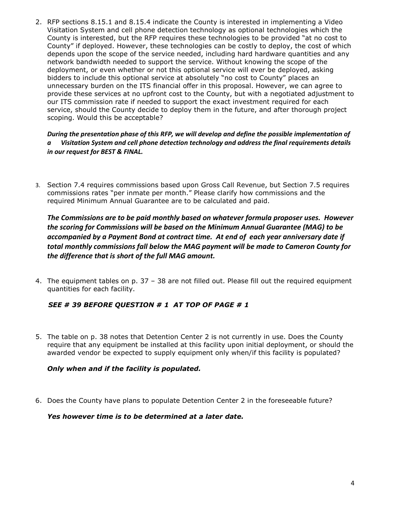2. RFP sections 8.15.1 and 8.15.4 indicate the County is interested in implementing a Video Visitation System and cell phone detection technology as optional technologies which the County is interested, but the RFP requires these technologies to be provided "at no cost to County" if deployed. However, these technologies can be costly to deploy, the cost of which depends upon the scope of the service needed, including hard hardware quantities and any network bandwidth needed to support the service. Without knowing the scope of the deployment, or even whether or not this optional service will ever be deployed, asking bidders to include this optional service at absolutely "no cost to County" places an unnecessary burden on the ITS financial offer in this proposal. However, we can agree to provide these services at no upfront cost to the County, but with a negotiated adjustment to our ITS commission rate if needed to support the exact investment required for each service, should the County decide to deploy them in the future, and after thorough project scoping. Would this be acceptable?

#### *During the presentation phase of this RFP, we will develop and define the possible implementation of a Visitation System and cell phone detection technology and address the final requirements details in our request for BEST & FINAL.*

3. Section 7.4 requires commissions based upon Gross Call Revenue, but Section 7.5 requires commissions rates "per inmate per month." Please clarify how commissions and the required Minimum Annual Guarantee are to be calculated and paid.

*The Commissions are to be paid monthly based on whatever formula proposer uses. However the scoring for Commissions will be based on the Minimum Annual Guarantee (MAG) to be accompanied by a Payment Bond at contract time. At end of each year anniversary date if total monthly commissions fall below the MAG payment will be made to Cameron County for the difference that is short of the full MAG amount.* 

4. The equipment tables on p. 37 – 38 are not filled out. Please fill out the required equipment quantities for each facility.

### *SEE # 39 BEFORE QUESTION # 1 AT TOP OF PAGE # 1*

5. The table on p. 38 notes that Detention Center 2 is not currently in use. Does the County require that any equipment be installed at this facility upon initial deployment, or should the awarded vendor be expected to supply equipment only when/if this facility is populated?

#### *Only when and if the facility is populated.*

6. Does the County have plans to populate Detention Center 2 in the foreseeable future?

#### *Yes however time is to be determined at a later date.*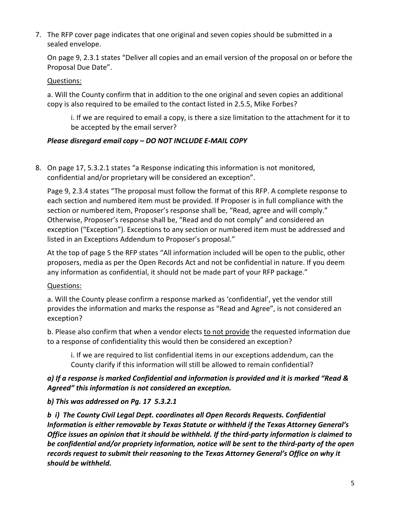7. The RFP cover page indicates that one original and seven copies should be submitted in a sealed envelope.

On page 9, 2.3.1 states "Deliver all copies and an email version of the proposal on or before the Proposal Due Date".

### Questions:

a. Will the County confirm that in addition to the one original and seven copies an additional copy is also required to be emailed to the contact listed in 2.5.5, Mike Forbes?

i. If we are required to email a copy, is there a size limitation to the attachment for it to be accepted by the email server?

# *Please disregard email copy – DO NOT INCLUDE E-MAIL COPY*

8. On page 17, 5.3.2.1 states "a Response indicating this information is not monitored, confidential and/or proprietary will be considered an exception".

Page 9, 2.3.4 states "The proposal must follow the format of this RFP. A complete response to each section and numbered item must be provided. If Proposer is in full compliance with the section or numbered item, Proposer's response shall be, "Read, agree and will comply." Otherwise, Proposer's response shall be, "Read and do not comply" and considered an exception ("Exception"). Exceptions to any section or numbered item must be addressed and listed in an Exceptions Addendum to Proposer's proposal."

At the top of page 5 the RFP states "All information included will be open to the public, other proposers, media as per the Open Records Act and not be confidential in nature. If you deem any information as confidential, it should not be made part of your RFP package."

# Questions:

a. Will the County please confirm a response marked as 'confidential', yet the vendor still provides the information and marks the response as "Read and Agree", is not considered an exception?

b. Please also confirm that when a vendor elects to not provide the requested information due to a response of confidentiality this would then be considered an exception?

i. If we are required to list confidential items in our exceptions addendum, can the County clarify if this information will still be allowed to remain confidential?

# *a) If a response is marked Confidential and information is provided and it is marked "Read & Agreed" this information is not considered an exception.*

# *b) This was addressed on Pg. 17 5.3.2.1*

*b i) The County Civil Legal Dept. coordinates all Open Records Requests. Confidential Information is either removable by Texas Statute or withheld if the Texas Attorney General's Office issues an opinion that it should be withheld. If the third-party information is claimed to be confidential and/or propriety information, notice will be sent to the third-party of the open records request to submit their reasoning to the Texas Attorney General's Office on why it should be withheld.*